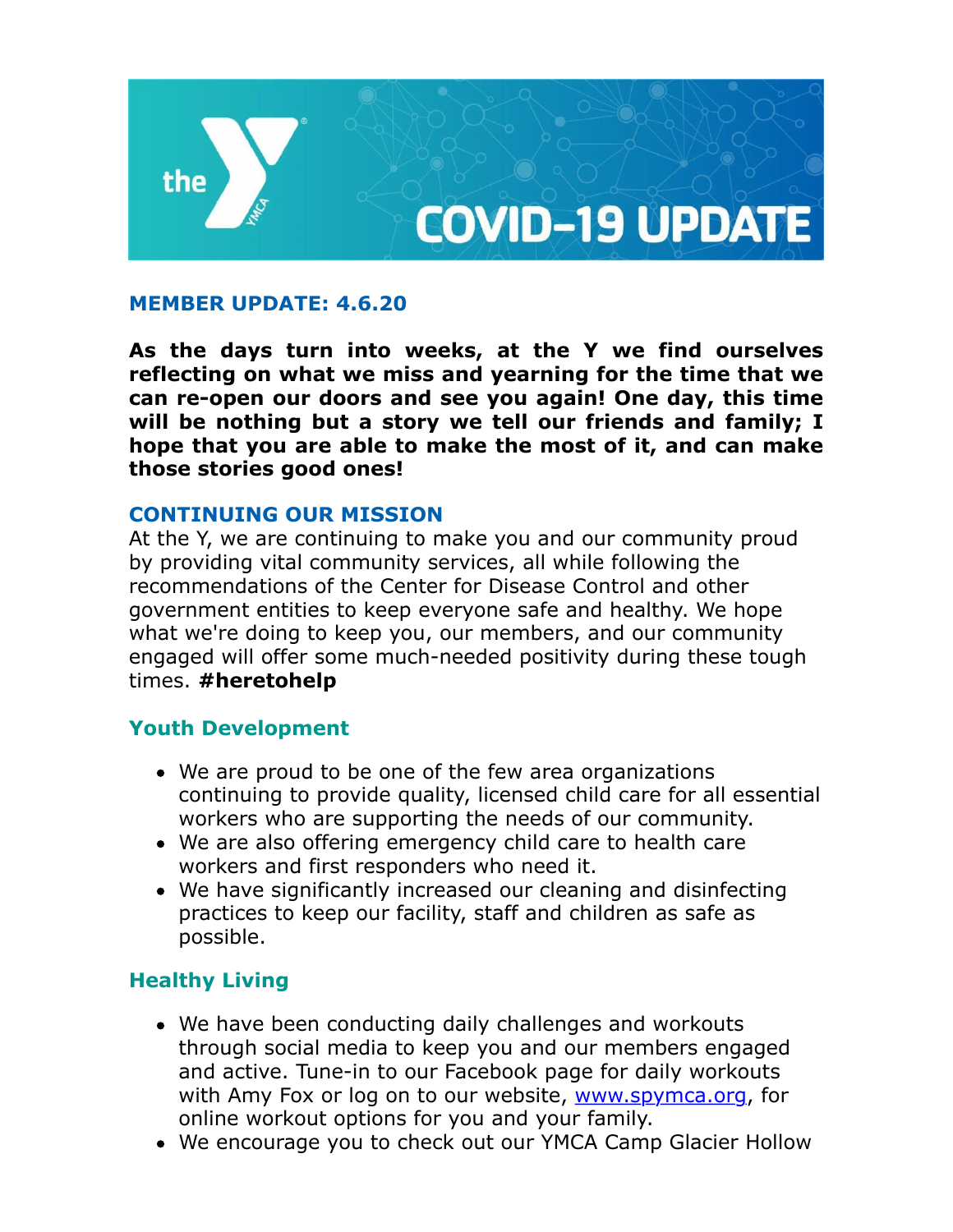

### **MEMBER UPDATE: 4.6.20**

**As the days turn into weeks, at the Y we find ourselves reflecting on what we miss and yearning for the time that we can re-open our doors and see you again! One day, this time will be nothing but a story we tell our friends and family; I hope that you are able to make the most of it, and can make those stories good ones!** 

#### **CONTINUING OUR MISSION**

At the Y, we are continuing to make you and our community proud by providing vital community services, all while following the recommendations of the Center for Disease Control and other government entities to keep everyone safe and healthy. We hope what we're doing to keep you, our members, and our community engaged will offer some much-needed positivity during these tough times. **#heretohelp**

#### **Youth Development**

- We are proud to be one of the few area organizations continuing to provide quality, licensed child care for all essential workers who are supporting the needs of our community.
- We are also offering emergency child care to health care workers and first responders who need it.
- We have significantly increased our cleaning and disinfecting practices to keep our facility, staff and children as safe as possible.

# **Healthy Living**

- We have been conducting daily challenges and workouts through social media to keep you and our members engaged and active. Tune-in to our Facebook page for daily workouts with Amy Fox or log on to our website, [www.spymca.org,](http://www.spymca.org/) for online workout options for you and your family.
- We encourage you to check out our YMCA Camp Glacier Hollow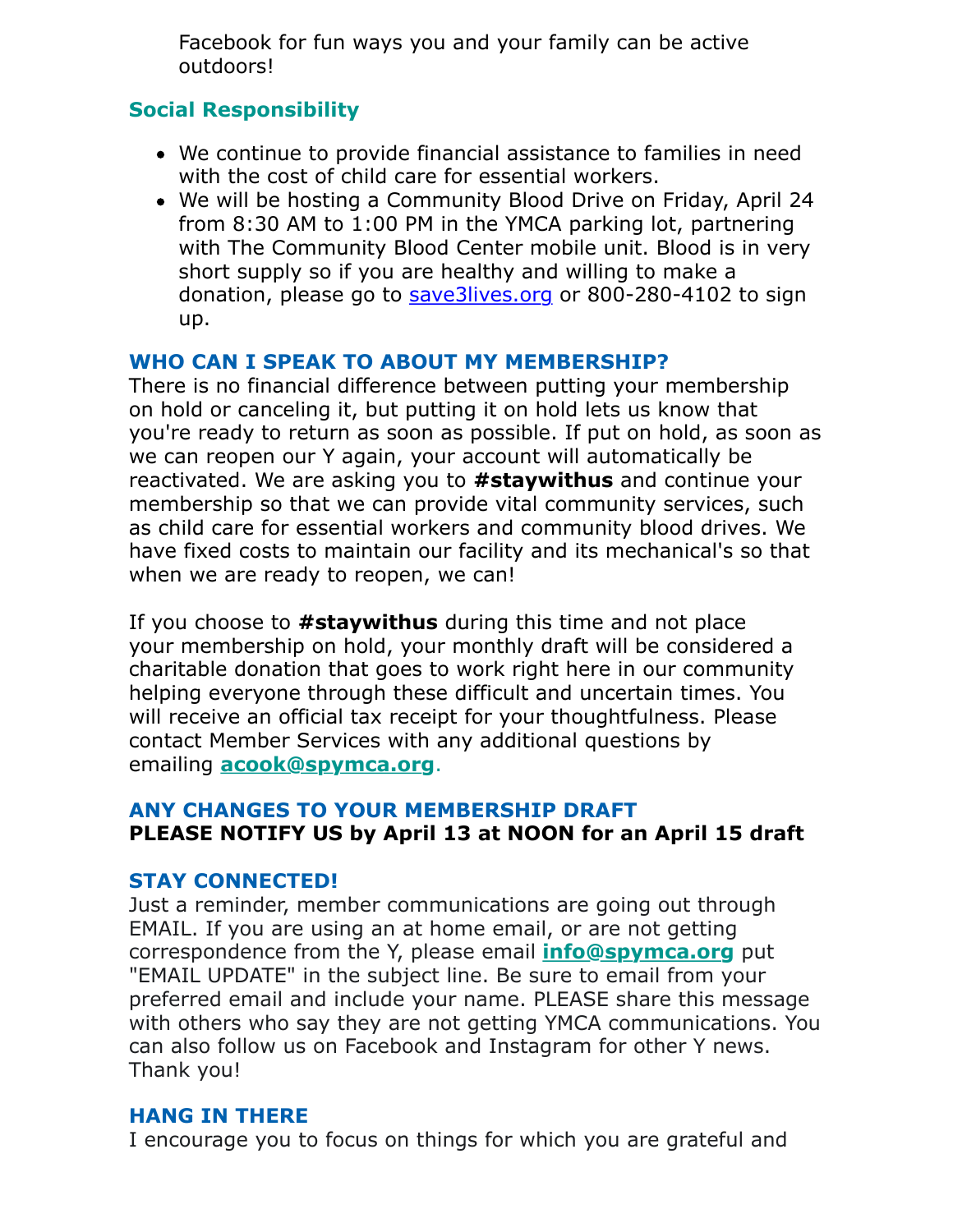Facebook for fun ways you and your family can be active outdoors!

## **Social Responsibility**

- We continue to provide financial assistance to families in need with the cost of child care for essential workers.
- We will be hosting a Community Blood Drive on Friday, April 24 from 8:30 AM to 1:00 PM in the YMCA parking lot, partnering with The Community Blood Center mobile unit. Blood is in very short supply so if you are healthy and willing to make a donation, please go to [save3lives.org](http://www.save3lives.org/) or 800-280-4102 to sign up.

#### **WHO CAN I SPEAK TO ABOUT MY MEMBERSHIP?**

There is no financial difference between putting your membership on hold or canceling it, but putting it on hold lets us know that you're ready to return as soon as possible. If put on hold, as soon as we can reopen our Y again, your account will automatically be reactivated. We are asking you to **#staywithus** and continue your membership so that we can provide vital community services, such as child care for essential workers and community blood drives. We have fixed costs to maintain our facility and its mechanical's so that when we are ready to reopen, we can!

If you choose to **#staywithus** during this time and not place your membership on hold, your monthly draft will be considered a charitable donation that goes to work right here in our community helping everyone through these difficult and uncertain times. You will receive an official tax receipt for your thoughtfulness. Please contact Member Services with any additional questions by emailing **[acook@spymca.org](mailto:acook@spymca.org)**.

### **ANY CHANGES TO YOUR MEMBERSHIP DRAFT PLEASE NOTIFY US by April 13 at NOON for an April 15 draft**

#### **STAY CONNECTED!**

Just a reminder, member communications are going out through EMAIL. If you are using an at home email, or are not getting correspondence from the Y, please email **[info@spymca.org](mailto:info@spymca.org)** put "EMAIL UPDATE" in the subject line. Be sure to email from your preferred email and include your name. PLEASE share this message with others who say they are not getting YMCA communications. You can also follow us on Facebook and Instagram for other Y news. Thank you!

#### **HANG IN THERE**

I encourage you to focus on things for which you are grateful and